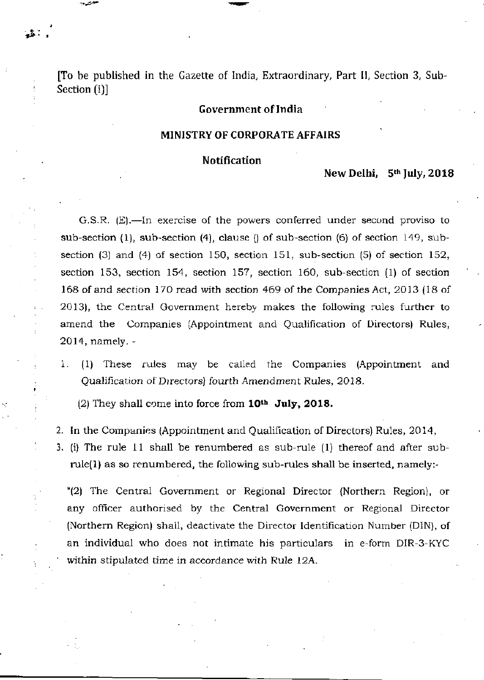[To be published in the Gazette of India, Extraordinary, Part II, Section 3, Sub-Section (i)]

# **Government of India**

#### **MINISTRY OF CORPORATE AFFAIRS**

#### **Notification**

**»** 

# **New Delhi, 5th July, 201 8**

G.S.R.  $(E)$ .—In exercise of the powers conferred under second proviso to sub-section (1), sub-section (4), clause () of sub-section (6) of section 149, subsection (3) and (4) of section 150, section 151, sub-section (5) of section 152, section 153, section 154, section 157, section 160, sub-section (1) of section 168 of and section 170 read with section 469 of the Companies Act, 2013 (18 of 2013), the Central Government hereby makes the following rules further to amend the Companies (Appointment and Qualification of Directors) Rules, 2014, namely. -

1. (1) These rules may be called the Companies (Appointment and Qualification of Directors) fourth Amendment Rules, 2018 .

(2) They shall come into force from **10<sup>t</sup> <sup>h</sup> July, 2018 .** 

- 2. In the Companies (Appointment and Qualification of Directors) Rules, 2014,
- 3. (i) The rule 11 shall be renumbered as sub-rule  $(1)$  thereof and after subrule(1) as so renumbered, the following sub-rules shall be inserted, namely:-

"(2) The Central Government or Regional Director (Northern Region), or any officer authorised by the Central Government or Regional Director (Northern Region) shall, deactivate the Director Identification Number (DIN), of an individual who does not intimate his particulars in e-form DIR-3-KYC within stipulated time in accordance with Rule 12A.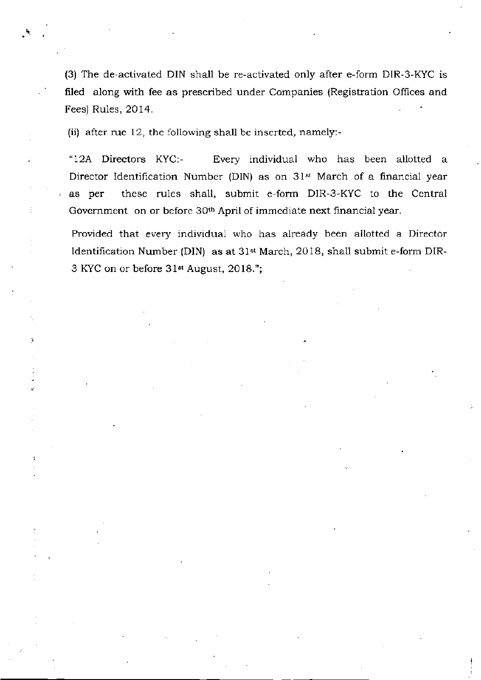(3) The de-activated DIN shall be re-activated only after e-form DIR-3-KYC is filed along with fee as prescribed under Companies (Registration Offices and Fees) Rules, 2014.

(ii) after rue 12, the following shall be inserted, namely:-

"12A Directors KYC:- Every individual who has been allotted a Director Identification Number (DIN) as on 31<sup>st</sup> March of a financial year as per these rules shall, submit e-form DIR-3-KYC to the Central Government on or before 30<sup>th</sup> April of immediate next financial year.

Provided that every individual who has already been allotted a Director Identification Number (DIN) as at 31<sup>st</sup> March, 2018, shall submit e-form DIR-3 KYC on or before 31<sup>st</sup> August, 2018.";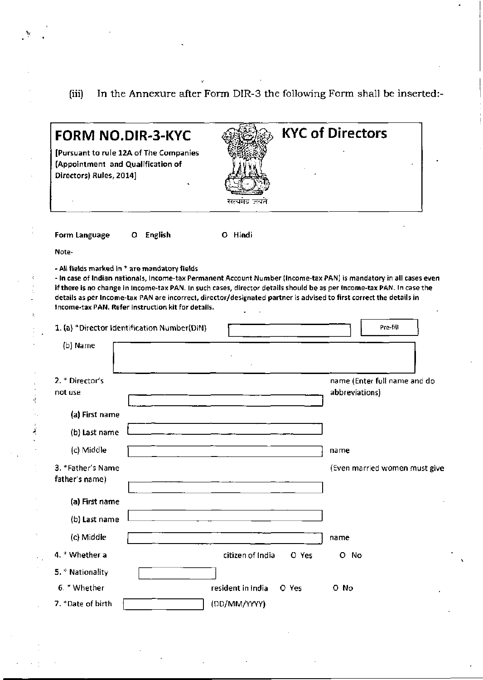# (iii) In the Annexure after Form DIR-3 the following Form shall be inserted:-

v.

 $\mathcal{A}_\mu$ 

 $\ddot{\phantom{a}}$  $\ddot{\cdot}$ 

 $\label{eq:1} \frac{1}{2} \int_{\mathbb{R}^3} \left| \frac{1}{2} \left( \frac{1}{2} \right) \right| \, d\mu = \frac{1}{2} \int_{\mathbb{R}^3} \left| \frac{1}{2} \left( \frac{1}{2} \right) \right| \, d\mu = \frac{1}{2} \int_{\mathbb{R}^3} \left| \frac{1}{2} \left( \frac{1}{2} \right) \right| \, d\mu = \frac{1}{2} \int_{\mathbb{R}^3} \left| \frac{1}{2} \left( \frac{1}{2} \right) \right| \, d\mu = \frac{1}{2} \int$ 

| <b>FORM NO.DIR-3-KYC</b><br>[Pursuant to rule 12A of The Companies<br>(Appointment and Qualification of<br>Directors) Rules, 2014]                                                                                                                                                                                                                                                                                                                                                                                       | सत्यमव जयते                | <b>KYC of Directors</b>       |
|--------------------------------------------------------------------------------------------------------------------------------------------------------------------------------------------------------------------------------------------------------------------------------------------------------------------------------------------------------------------------------------------------------------------------------------------------------------------------------------------------------------------------|----------------------------|-------------------------------|
| O English<br>Form Language                                                                                                                                                                                                                                                                                                                                                                                                                                                                                               | O Hindi                    |                               |
| Note-                                                                                                                                                                                                                                                                                                                                                                                                                                                                                                                    |                            |                               |
| - All fields marked in * are mandatory fields<br>- In case of Indian nationals, Income-tax Permanent Account Number (Income-tax PAN) is mandatory in all cases even<br>if there is no change in Income-tax PAN. In such cases, director details should be as per Income-tax PAN. In case the<br>details as per Income-tax PAN are incorrect, director/designated partner is advised to first correct the details in<br>Income-tax PAN. Refer instruction kit for details.<br>1. (a) *Director Identification Number(DIN) |                            | Pre-fill                      |
| (b) Name                                                                                                                                                                                                                                                                                                                                                                                                                                                                                                                 |                            |                               |
|                                                                                                                                                                                                                                                                                                                                                                                                                                                                                                                          |                            |                               |
| 2. * Director's                                                                                                                                                                                                                                                                                                                                                                                                                                                                                                          |                            | name (Enter full name and do  |
| not use                                                                                                                                                                                                                                                                                                                                                                                                                                                                                                                  |                            | abbreviations)                |
| (a) First name                                                                                                                                                                                                                                                                                                                                                                                                                                                                                                           |                            |                               |
| (b) Last name                                                                                                                                                                                                                                                                                                                                                                                                                                                                                                            |                            |                               |
| (c) Middle                                                                                                                                                                                                                                                                                                                                                                                                                                                                                                               |                            | name                          |
| 3. *Father's Name<br>father's name)                                                                                                                                                                                                                                                                                                                                                                                                                                                                                      |                            | (Even married women must give |
| (a) First name                                                                                                                                                                                                                                                                                                                                                                                                                                                                                                           |                            |                               |
| (b) Last name                                                                                                                                                                                                                                                                                                                                                                                                                                                                                                            |                            |                               |
| (c) Middle                                                                                                                                                                                                                                                                                                                                                                                                                                                                                                               |                            | name                          |
| 4. * Whether a                                                                                                                                                                                                                                                                                                                                                                                                                                                                                                           | citizen of India<br>O Yes  | O No                          |
| 5. * Nationality                                                                                                                                                                                                                                                                                                                                                                                                                                                                                                         |                            |                               |
| 6. * Whether                                                                                                                                                                                                                                                                                                                                                                                                                                                                                                             | resident in India<br>O Yes | O No                          |
| 7. *Date of birth                                                                                                                                                                                                                                                                                                                                                                                                                                                                                                        | (DD/MM/YYYY)               |                               |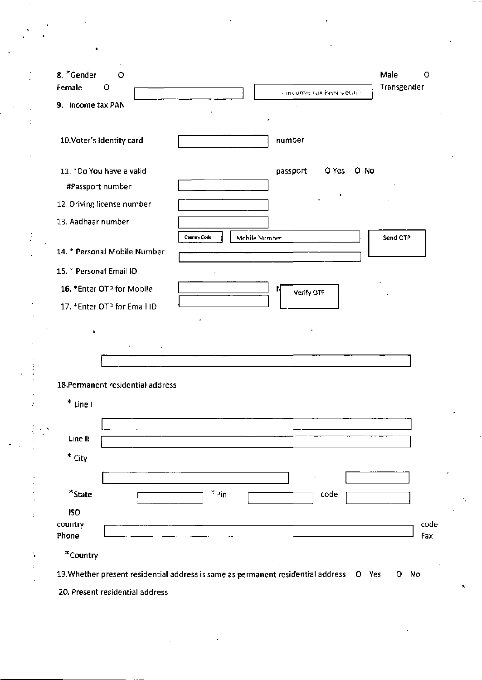|                                  | 8. *Gender<br>$\circ$                                                                  | Male<br>O      |
|----------------------------------|----------------------------------------------------------------------------------------|----------------|
|                                  | Female<br>o<br>- income sax PAN Details                                                | Transgender    |
|                                  | 9. Income tax PAN                                                                      |                |
|                                  | 10.Voter's Identity card<br>number                                                     |                |
|                                  |                                                                                        |                |
|                                  | 11. *Do You have a valid<br>passport<br>O Yes<br>O No                                  |                |
|                                  | #Passport number                                                                       |                |
|                                  | 12. Driving license number                                                             |                |
|                                  | 13. Aadhaar number                                                                     |                |
| $\frac{1}{2}$                    | Country Code<br>Mobile Number                                                          | Send OTP       |
|                                  | 14. * Personal Mobile Number                                                           |                |
|                                  | 15. * Personal Email ID                                                                |                |
|                                  | 16. *Enter OTP for Mobile<br>Verify OTP                                                |                |
|                                  | 17. *Enter OTP for Email ID                                                            |                |
|                                  |                                                                                        |                |
|                                  | 18.Permanent residential address                                                       |                |
|                                  | * Line I                                                                               |                |
| $\mathbb{P}_{\mathbb{P}^2}$<br>٠ |                                                                                        |                |
|                                  | Line II                                                                                |                |
|                                  | $*$ City                                                                               |                |
|                                  |                                                                                        |                |
|                                  | $*$ Pin<br>$\displaystyle{ }^{\ast}$ State<br>code                                     |                |
|                                  | <b>ISO</b>                                                                             |                |
|                                  |                                                                                        | code           |
|                                  | country<br>Phone                                                                       |                |
|                                  | *Country                                                                               |                |
|                                  | 19. Whether present residential address is same as permanent residential address O Yes | Fax<br>No<br>O |

 $\label{eq:2} \frac{1}{\sqrt{2}}\sum_{i=1}^N\frac{1}{\sqrt{2}}\sum_{i=1}^N\frac{1}{\sqrt{2}}\sum_{i=1}^N\frac{1}{\sqrt{2}}\sum_{i=1}^N\frac{1}{\sqrt{2}}\sum_{i=1}^N\frac{1}{\sqrt{2}}\sum_{i=1}^N\frac{1}{\sqrt{2}}\sum_{i=1}^N\frac{1}{\sqrt{2}}\sum_{i=1}^N\frac{1}{\sqrt{2}}\sum_{i=1}^N\frac{1}{\sqrt{2}}\sum_{i=1}^N\frac{1}{\sqrt{2}}\sum_{i=1}^N\frac{1$ 

 $\sim$   $\sim$ 

 $\hat{\mathcal{L}}$ 

 $\frac{1}{\sqrt{2}}$ 

 $\mathcal{F}_{\text{max}}$  and  $\mathcal{F}_{\text{max}}$ 

 $\epsilon_{\rm eff}$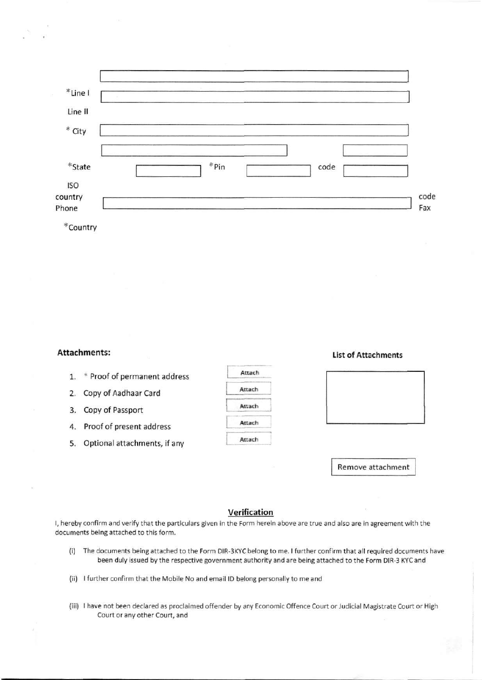|  | *Pin | code |      |
|--|------|------|------|
|  |      |      | code |
|  |      |      | Fax  |
|  |      |      |      |

#### **Attachments:**

- 1. \* Proof of permanent address
- 2. Copy of Aadhaar Card
- 3. Copy of Passport
- 4. Proof of present address
- 5. Optional attachments, if any

# Attach Attach Attach Attach Attach

#### **List of Attachments**



Remove attachment

### **Verification**

I, hereby confirm and verify that the particulars given in the Form herein above are true and also are in agreement with the documents being attached to this form.

- (i) The documents being attached to the Form DIR-3KYC belong to me. I further confirm that all required documents have been duly issued by the respective government authority and are being attached to the Form DIR-3 KYC and
- (ii) I further confirm that the Mobile No and email ID belong personally to me and
- (iii) I have not been declared as proclaimed offender by any Economic Offence Court or Judicial Magistrate Court or High Court or any other Court, and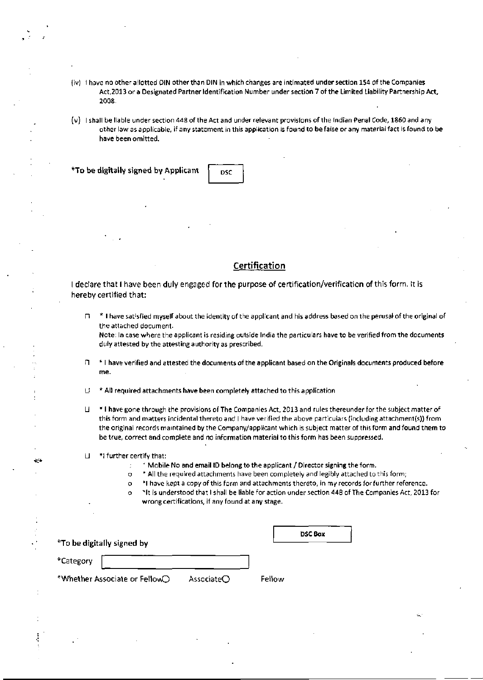- (iv) I have no other allotted DIN other than DIN in which changes are intimated under section 154 of the Companies Act,2013 or a Designated Partner Identification Number under section 7 of the Limited Liability Partnership Act, 2008.
- I shall be liable under section 448 of the Act and under relevant provisions of the Indian Penal Code, 1860 and any other law as applicable, if any statement in this application is found to be false or any material fact is found to be have been omitted.

 $*$  To be digitally signed by Applicant  $\int_{BSC}$ 

#### **Certification**

I declare that I have been duly engaged for the purpose of certification/verification of this form. It is hereby certified that:

\* I have sat'sfied myself about the identity of the applicant and his address based on the perusal of the original of  $\Box$ the attached document.

Note: In case where the applicant is residing outside India the particulars have to be verified from the documents duly attested by the attesting authority as prescribed.

- $n + 1$  have verified and attested the documents of the applicant based on the Originals documents produced before me.
- $U^*$  \* All required attachments have been completely attached to this application
- Ц \* I have gone through the provisions of The Companies Act, 2013 and rules thereunder for the subject matter of this form and matters incidental thereto and I have verified the above particulars (including attachment(s)) from the original records maintained by the Company/applicant which is subject matter of this form and found them to be true, correct and complete and no information material to this form has been suppressed.
- U "I further certify that:

 $\star$ 

- ; Mobile No and email ID belong to the applicant / Director signing the form.
- o \* All the required attachments have been completely and legibly attached to this form;
- o \* I have kept a copy of this form and attachments thereto, in my records for further reference.
- o <sup>x</sup> lt is understood that I shall be liable for action under section 448 of The Companies Act, 2013 for wrong certifications, if any found at any stage.

| *To be digitally signed by    |                      |        | <b>DSC Box</b> |
|-------------------------------|----------------------|--------|----------------|
| *Category                     |                      |        |                |
| *Whether Associate or FellowO | Associate $\bigcirc$ | Fellow |                |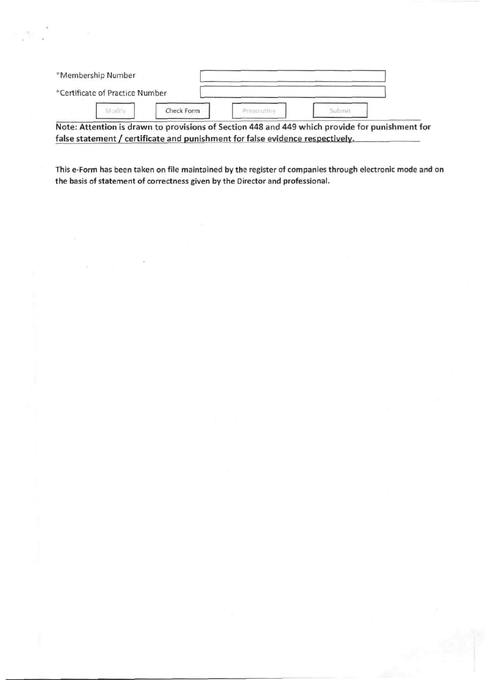| *Membership Number              |            |  |  |
|---------------------------------|------------|--|--|
| *Certificate of Practice Number |            |  |  |
| Modif                           | Check Form |  |  |

Note: Attention is drawn to provisions of Section 448 and 449 which provide for punishment for false statement / certificate and punishment for false evidence respectively.

This e-Form has been taken on file maintained by the register of companies through electronic mode and on the basis of statement of correctness given by the Director and professional.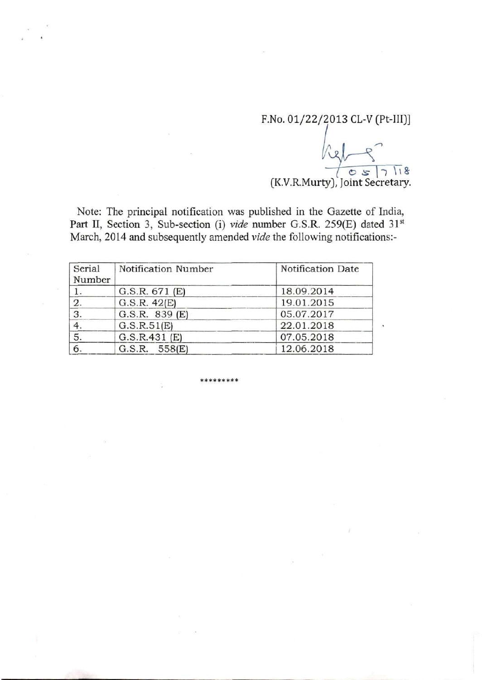F.No. 01/22/2013 CL-V (Pt-III)]

 $($  K.V.R.Murty), Joint Secretary.

Note: The principal notification was published in the Gazette of India, Part II, Section 3, Sub-section (i) *vide* number G.S.R. 259(E) dated 31<sup>st</sup> March, 2014 and subsequently amended *vide* the following notifications:-

| Serial<br>Number | Notification Number | Notification Date |
|------------------|---------------------|-------------------|
|                  | G.S.R. 671(E)       | 18.09.2014        |
| 2.               | G.S.R. 42(E)        | 19.01.2015        |
| $\overline{3}$ . | G.S.R. 839 (E)      | 05.07.2017        |
| 4.               | G.S.R.51(E)         | 22.01.2018        |
| 5.               | G.S.R.431(E)        | 07.05.2018        |
| 6.               | G.S.R. 558(E)       | 12.06.2018        |

**\* \* \* \* \* \* \* \* \***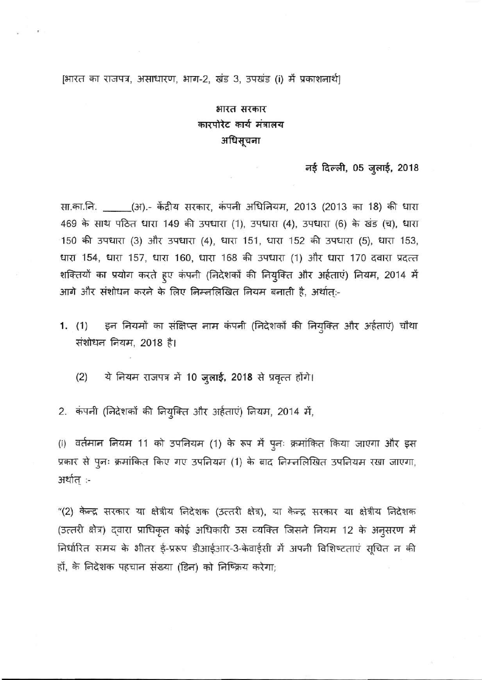# [भारत का राजपत्र, असाधारण, भाग-2, खंड 3, उपखंड (i) में प्रकाशनार्थ]

# भारत सरकार कारपोरेट कार्य मंत्रालय अधिसूचना

#### नई दिल्ली, 05 जुलाई, 2018

सा.का.नि. \_\_\_\_\_(अ).- केंद्रीय सरकार, कंपनी अधिनियम, 2013 (2013 का 18) की धारा 469 के साथ पठित धारा 149 की उपधारा (1), उपधारा (4), उपधारा (6) के खंड (च), धारा 150 की उपधारा (3) और उपधारा (4), धारा 151, धारा 152 की उपधारा (5), धारा 153, धारा 154, धारा 157, धारा 160, धारा 168 की उपधारा (1) और धारा 170 दवारा प्रदत्त शक्तियों का प्रयोग करते हूए कंपनी (निदेशकों की नियुक्ति और अर्हताएं) नियम, 2014 में आगे और संशोधन करने के लिए निम्नलिखित नियम बनाती है, अर्थात्:-

1. (1) इन नियमों का संक्षिप्त नाम कंपनी (निदेशकों की नियुक्ति और अर्हताएं) चौथा संशोधन नियम, 2018 है।

 $(2)$  ये नियम राजपत्र में 10 जुलाई, 2018 से प्रवृत्त होंगे।

2. कंपनी (निदेशकों की नियुक्ति और अर्हताएं) नियम, 2014 में,

(i) वर्तमान नियम 11 को उपनियम (1) के रूप में पुनः क्रमांकित किया जाएगा और इस प्रकार से पुनः क्रमांकित किए गए उपनियम (1) के बाद निम्नलिखित उपनियम रखा जाएगा, अर्थात् :-

"(2) केन्द्र सरकार या क्षेत्रीय निदेशक (उत्तरी क्षेत्र), या केन्द्र सरकार या क्षेत्रीय निदेशक (उत्तरी क्षेत्र) दवारा प्राधिकृत कोई अधिकारी उस व्यक्ति जिसने नियम 12 के अनुसरण में निर्धारित समय के भीतर ई-प्ररूप डीआईआर-3-केवाईसी में अपनी विशिष्टताएं सूचित न की हों, के निदेशक पहचान संख्या (डिन) को निष्क्रिय करेगा;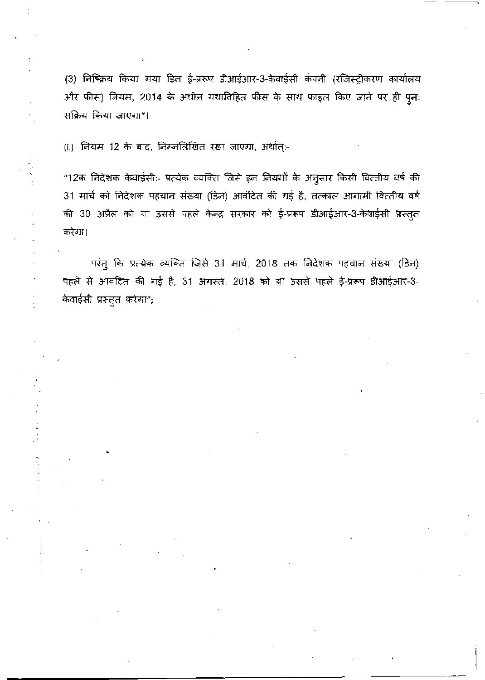(3) निष्क्रिय किया गया डिन ई-प्ररूप डीआईआर-3-केवाईसी कंपनी (रजिस्ट्रीकरण कार्यालय और फीस) नियम, 2014 के अधीन यथाविहित फीस के साथ फाइल किए जाने पर ही पुनः सक्रिय किया जाएगा"।

(ii) नियम 12 के बाद, निम्नलिखित रखा जाएगा, अर्थात्:-

"12क निदेशक केवाईसी:- प्रत्येक व्यक्ति जिसे इन नियमों के अनुसार किसी वित्तीय वर्ष की 31 मार्च को निदेशक पहचान संख्या (डिन) आवंटित की गई है, तत्काल आगामी वित्तीय वर्ष की 30 अप्रैल को या उससे पहले केन्द्र सरकार को ई-प्ररूप डीआईआर-3-केवाईसी प्रस्तुत करेगा।

परंत् कि प्रत्येक व्यक्ति जिसे 31 मार्च, 2018 तक निदेशक पहचान संख्या (डिन) पहले से आवंटित की गई है, 31 अगस्त, 2018 को या उससे पहले ई-प्ररूप डीआईआर-3-केवाईसी प्रस्तुत करेगा";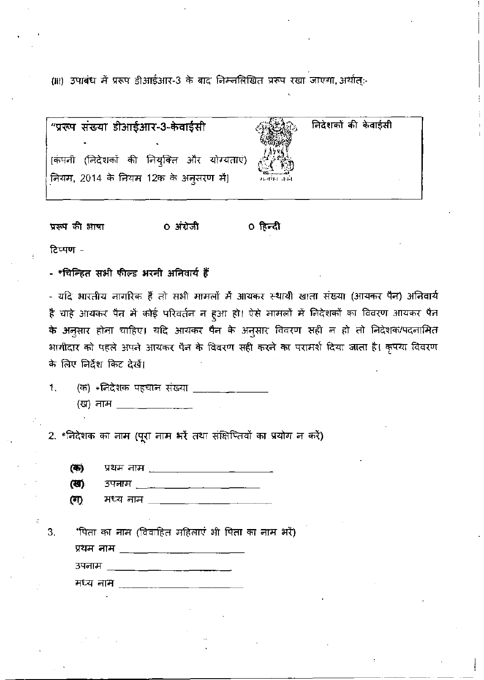(iii) उपाबंध में प्ररूप डीआईआर-3 के बाद निम्नलिखित प्ररूप रखा जाएगा, अर्थात्-

| "प्ररूप संख्या डीआईआर-3-केवाईसी            |                      | निदेशकों की केवाईसी |
|--------------------------------------------|----------------------|---------------------|
| [कंपनी (निदेशकों की नियुक्ति और योग्यताएं) | <b>Dip ---------</b> |                     |
| नियम, 2014 के नियम 12क के अनुसरण में]      | मनगंग तक।            |                     |

प्ररूप की आषा 0 अंग्रेजी ० हिन्दी

टिप्पण -

- \*चिन्हित सभी फील्ड भरनी अनिवार्य हैं

- यदि भारतीय नागरिक हैं तो सभी मामलों में आयकर स्थायी खाता संख्या (आयकर पैन) अनिवार्य है चाहे आयकर पैन में कोई परिवर्तन न हुआ हो। ऐसे मामलों में निदेशकों का विवरण आयकर पैन के अनुसार होना चाहिए। यदि आयकर पैन के अनुसार विवरण सही न हो तो निदेशक/पदनामित भागीदार को पहले अपने आयकर पैन के विवरण सही करने का परामर्श दिया जाता है। कृपया विवरण के लिए निर्देश किट देखें।

|  | (क) *निदेशक पहचान संख्या |  |  |
|--|--------------------------|--|--|
|  | (ख) नाम                  |  |  |

2. \*निदेशक का नाम (पूरा नाम भरें तथा संक्षिप्तियों का प्रयोग न करें)

(事) प्रथम नाम

| (জ)<br>उपनाम |  |
|--------------|--|
|--------------|--|

| (T) | मध्य नाम |  |  |
|-----|----------|--|--|
|     |          |  |  |

'पिता का नाम (विवाहित महिलाएं भी पिता का नाम भरें) 3. उपनाम \_\_\_\_\_\_\_\_\_\_\_\_\_\_\_\_\_\_\_\_\_\_\_ मध्य नाम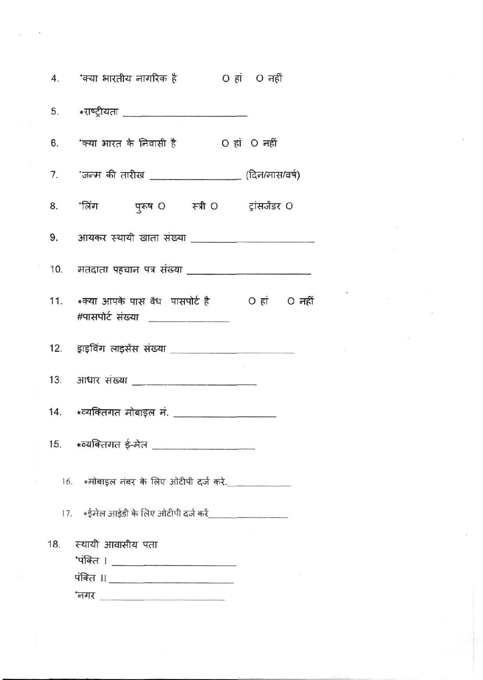|                     |                       | 5. *राष्ट्रीयता <u>_______________________</u> |                                                      |  |
|---------------------|-----------------------|------------------------------------------------|------------------------------------------------------|--|
|                     |                       |                                                | 6. 'क्या भारत के निवासी है   O हां O नहीं            |  |
|                     |                       |                                                | 7. 'जन्म की तारीख ____________________(दिन/मास/वर्ष) |  |
|                     |                       |                                                | 8. 'लिंग पुरूष O स्त्री O ट्रांसजेंडर O              |  |
|                     |                       |                                                |                                                      |  |
|                     |                       |                                                |                                                      |  |
|                     |                       | #पासपोर्ट संख्या _______________               | 11. *क्या आपके पास वैध पासपोर्ट है O हां O नहीं      |  |
|                     |                       |                                                |                                                      |  |
|                     |                       |                                                | 13. आधार संख्या ________________________             |  |
|                     |                       |                                                |                                                      |  |
|                     |                       |                                                | 15. *व्यक्तिगत ई-मेल ___________________             |  |
|                     |                       |                                                | 16. *मोबाइल नंबर के लिए ओटीपी दर्ज करे.____________  |  |
|                     |                       |                                                |                                                      |  |
|                     | 18. स्थायी आवासीय पता | 'पंक्ति । ________________________             |                                                      |  |
| $\Omega$ - $\Omega$ |                       | पंक्ति II _______________________              |                                                      |  |
|                     |                       |                                                |                                                      |  |

 $\tilde{\mathbf{x}}$ 

 $\infty$ 

 $\mathcal{R}^{\mathcal{A}}$  and  $\mathcal{R}^{\mathcal{A}}$  are  $\mathcal{R}^{\mathcal{A}}$  . In the contract of  $\mathcal{R}^{\mathcal{A}}$ 

 $\Delta \Sigma$ 

 $\bar{z}$ 

 $\frac{1}{2}$  ,  $\frac{1}{2}$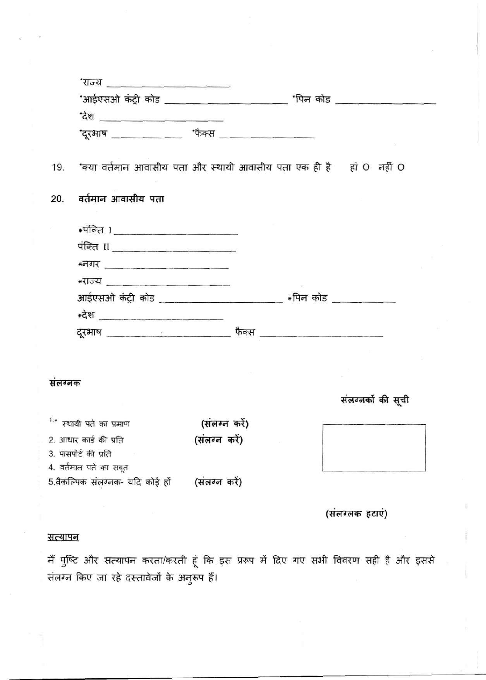| <u>राज्य काला पाणि काला काला काला का</u> |                        |                                                                         |                                                 |                                                                         |
|------------------------------------------|------------------------|-------------------------------------------------------------------------|-------------------------------------------------|-------------------------------------------------------------------------|
|                                          |                        |                                                                         |                                                 |                                                                         |
|                                          |                        |                                                                         |                                                 |                                                                         |
|                                          |                        |                                                                         |                                                 |                                                                         |
|                                          |                        |                                                                         |                                                 |                                                                         |
| वर्तमान आवासीय पता                       |                        |                                                                         |                                                 |                                                                         |
|                                          |                        |                                                                         |                                                 |                                                                         |
|                                          |                        |                                                                         |                                                 |                                                                         |
|                                          |                        |                                                                         |                                                 |                                                                         |
|                                          |                        |                                                                         |                                                 |                                                                         |
|                                          |                        |                                                                         |                                                 |                                                                         |
|                                          |                        |                                                                         |                                                 |                                                                         |
|                                          |                        |                                                                         |                                                 |                                                                         |
|                                          |                        |                                                                         |                                                 |                                                                         |
|                                          |                        |                                                                         |                                                 |                                                                         |
| सलग्नक                                   |                        |                                                                         |                                                 |                                                                         |
|                                          |                        |                                                                         |                                                 | संलग्नकों की सूची                                                       |
| <sup>1.</sup> स्थायी पते का प्रमाण       |                        |                                                                         |                                                 |                                                                         |
|                                          |                        |                                                                         |                                                 |                                                                         |
| 3. पासपोर्ट की प्रति                     |                        |                                                                         |                                                 |                                                                         |
| 4. वर्तमान पते का सबूत                   |                        |                                                                         |                                                 |                                                                         |
|                                          |                        |                                                                         |                                                 |                                                                         |
|                                          |                        |                                                                         |                                                 | (संलग्लक हटाएं)                                                         |
|                                          | 2. आधार कार्ड की प्रति | <u>देश ________________________</u><br>5.वैकल्पिक संलग्ननक- यदि कोई हों | (संलग्न करें)<br>(संलग्न करें)<br>(संलग्न करें) | 19. 'क्या वर्तमान आवासीय पता और स्थायी आवासीय पता एक ही है हां O नहीं O |

# <u>सत्यापन</u>

मैं पुष्टि और सत्यापन करता/करती हूं कि इस प्ररूप में दिए गए सभी विवरण सही है और इससे संलग्न किए जा रहे दस्तावेजों के अनुरूप हैं।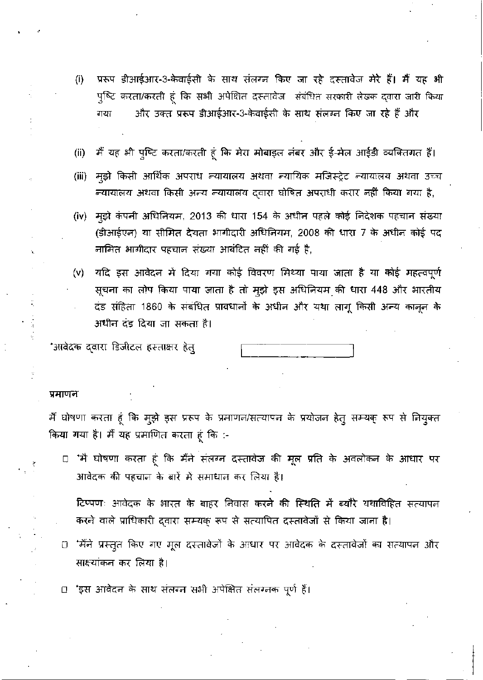- प्ररूप डीआईआर-3-केवाईसी के साथ संलग्न किए जा रहे दस्तावेज मेरे हैं। मैं यह भी  $(i)$ पुष्टि करता/करती हूं कि सभी अपेक्षित दस्तावेज संबंधित सरकारी लेखक द्वारा जारी किया और उक्त प्ररूप डीआईआर-3-केवाईसी के साथ संलग्न किए जा रहे हैं और गया
- मैं यह भी पुष्टि करता/करती हूं कि मेरा मोबाइल नंबर और ई-मेल आईडी व्यक्तिगत हैं।  $(ii)$
- म्झे किसी आर्थिक अपराध न्यायालय अथवा न्यायिक मजिस्ट्रेट न्यायालय अथवा उच्च  $(iii)$ न्यायालय अथवा किसी अन्य न्यायालय दवारा घोषित अपराधी करार नहीं किया गया है,
- मूझे कंपनी अधिनियम, 2013 की धारा 154 के अधीन पहले कोई निदेशक पहचान संख्या  $(iv)$ (डीआईएन) या सीमित देयता भागीदारी अधिनियम, 2008 की धारा 7 के अधीन कोई पद नामित भागीदार पहचान संख्या आबंटित नहीं की गई है,
- यदि इस आवेदन में दिया गया कोई विवरण मिथ्या पाया जाता है या कोई महत्वपूर्ण  $(v)$ सूचना का लोप किया पाया जाता है तो मुझे इस अधिनियम की धारा 448 और भारतीय दंड संहिता 1860 के संबंधित प्रावधानों के अधीन और यथा लागू किसी अन्य कानून के अधीन दंड दिया जा सकता है।

\*आवेदक द्वारा डिजीटल हस्ताक्षर हेत्

#### प्रमाणन

मैं घोषणा करता हूं कि मुझे इस प्ररूप के प्रमाणन/सत्यापन के प्रयोजन हेतु सम्यक् रूप से नियुक्त किया गया है। मैं यह प्रमाणित करता हूं कि :-

□ 'मै घोषणा करता हूं कि मैंने संतग्न दस्तावेज की मूल प्रति के अवलोकन के आधार पर आवेदक की पहचान के बारें में समाधान कर लिया है।

टिप्पणः आवेदक के भारत के बाहर निवास करने की स्थिति में ब्यौरे यथाविहित सत्यापन करने वाले प्राधिकारी द्वारा सम्यक् रूप से सत्यापित दस्तावेजों से किया जाना है।

0 'मैंने प्रस्तुत किए गए मूल दस्तावेजों के आधार पर आवेदक के दस्तावेजों का सत्यापन और साक्ष्यांकन कर लिया है।

□ 'इस आवेदन के साथ संलग्न सभी अपेक्षित संलग्नक पूर्ण हैं।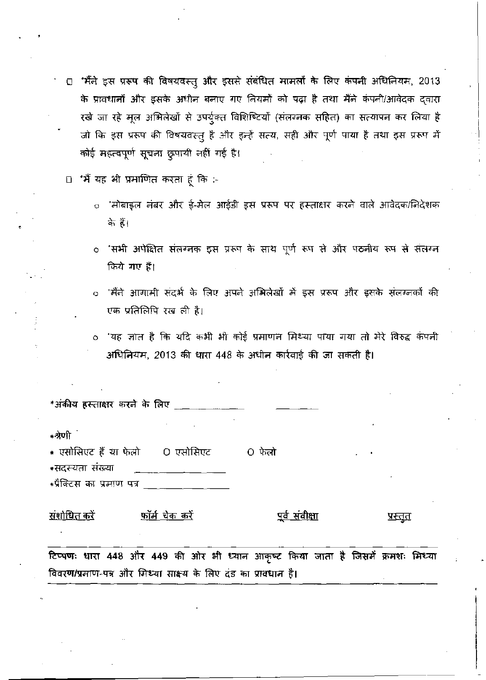- □ "मैंने इस प्ररूप की विषयवस्तु और इससे संबंधित मामलों के लिए कंपनी अधिनियम, 2013 के प्रावधानों और इसके अधीन बनाए गए नियमों को पढ़ा है तथा मैंने कंपनी/आवेदक दवारा रखे जा रहे मूल अभिलेखों से उपर्यूक्त विशिष्टियों (संलग्नक सहित) का सत्यापन कर लिया है जो कि इस प्ररूप की विषयवस्तु है और इन्हें सत्य, सही और पूर्ण पाया है तथा इस प्ररूप में कोई महत्वपूर्ण सूचना छुपायी नहीं गई है।
- □ 'मैं यह भी प्रमाणित करता हूं कि :-
	- ंमोबाइल नंबर और ई-मेल आईडी इस प्ररूप पर हस्ताक्षर करने वाले आवेदक/निदेशक  $\circ$ के हैं।
	- ंसभी अपेक्षित संलग्ननक इस प्ररूप के साथ पूर्ण रूप से और पठनीय रूप से संलग्न  $\circ$ किये गए हैं।
	- 'मैंने आगामी संदर्भ के लिए अपने अभिलेखों में इस प्ररूप और इसके संलग्नलों की  $\bullet$ एक प्रतिलिपि रख ली है।
	- 'यह ज्ञात है कि यदि कभी भी कोई प्रमाणन मिथ्या पाया गया तो मेरे विरुद्ध कंपनी  $\circ$ अधिनियम, 2013 की धारा 448 के अधीन कार्रवाई की जा सकती है।

| *अंकीय हस्ताक्षर करने के लिए _________                                                                                                            |                      |                       |         |  |
|---------------------------------------------------------------------------------------------------------------------------------------------------|----------------------|-----------------------|---------|--|
| ∗श्रेणी ं<br>* एसोसिएट हैं या फेलो       O एसोसिएट            O फेलो<br>∗सदस्यता संख्या                                                           |                      |                       |         |  |
| ∗प्रैक्टिस का प्रमाण पत्र                                                                                                                         |                      |                       |         |  |
| <u>संशोधित करें</u>                                                                                                                               | <u>फॉर्म चेक करे</u> | <u>पूर्व संवीक्षा</u> | प्रस्तत |  |
| टिप्पणः धारा 448 और 449 की ओर भी ध्यान आकृष्ट किया जाता है जिसमें क्रमशः मिथ्या<br>विवरण/प्रमाण-पत्र और मिथ्या साक्ष्य के लिए दंड का प्रावधान है। |                      |                       |         |  |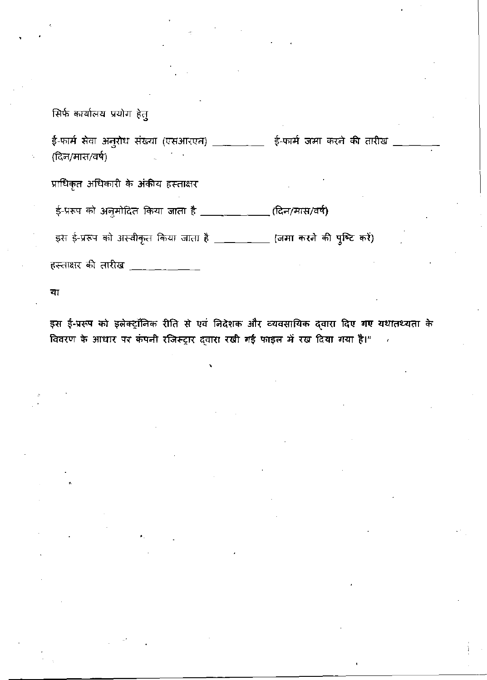# सिर्फ कार्यालय प्रयोग हेतु

ई-फार्म सेवा अनुरोध संख्या (एसआरएन) \_\_\_\_\_\_\_\_\_ ई-फार्म जमा करने की तारीख , (दिन/मास/वर्ष)

प्राधिकृत अधिकारी के अंकीय हस्ताक्षर

ई-प्ररूप को अनुमोदित किया जाता है \_\_\_\_\_\_\_\_\_\_\_\_\_(दिन/मास/वर्ष)

इस ई-प्ररूप को अस्वीकृत किया जाता है \_\_\_\_\_\_\_\_\_ (जमा करने की पुष्टि करें)

हस्ताक्षर की तारीख \_\_\_\_\_\_\_\_

या

इस ई-प्ररूप को इलेक्ट्रॉनिक रीति से एवं निदेशक और व्यवसायिक द्वारा दिए गए यथातथ्यता के विवरण के आधार पर कंपनी रजिस्ट्रार द्वारा रखी गई फाइल में रख दिया गया है।"